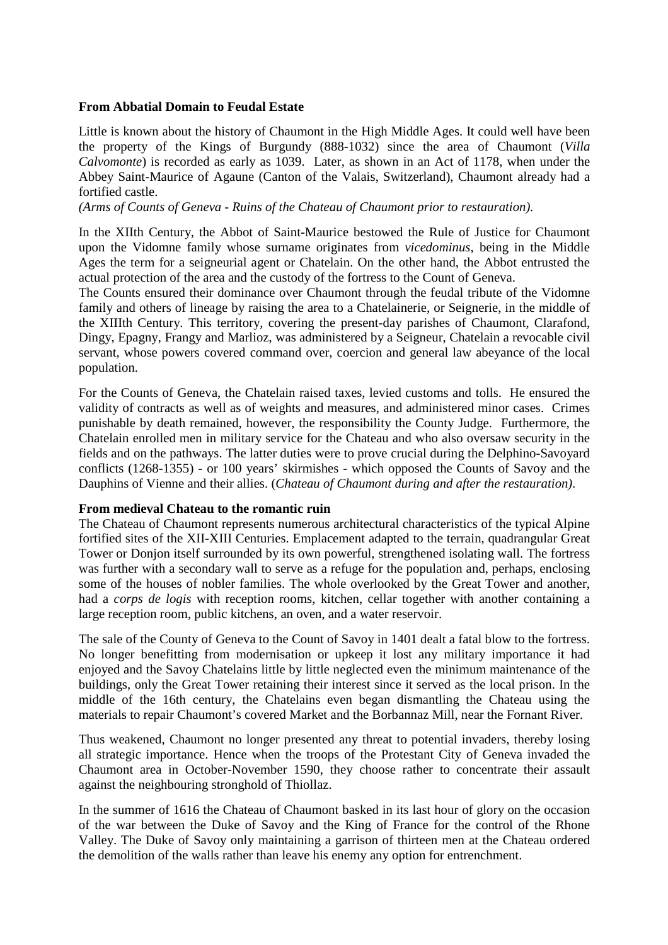### **From Abbatial Domain to Feudal Estate**

Little is known about the history of Chaumont in the High Middle Ages. It could well have been the property of the Kings of Burgundy (888-1032) since the area of Chaumont (*Villa Calvomonte*) is recorded as early as 1039. Later, as shown in an Act of 1178, when under the Abbey Saint-Maurice of Agaune (Canton of the Valais, Switzerland), Chaumont already had a fortified castle.

*(Arms of Counts of Geneva - Ruins of the Chateau of Chaumont prior to restauration).* 

In the XIIth Century, the Abbot of Saint-Maurice bestowed the Rule of Justice for Chaumont upon the Vidomne family whose surname originates from *vicedominus*, being in the Middle Ages the term for a seigneurial agent or Chatelain. On the other hand, the Abbot entrusted the actual protection of the area and the custody of the fortress to the Count of Geneva.

The Counts ensured their dominance over Chaumont through the feudal tribute of the Vidomne family and others of lineage by raising the area to a Chatelainerie, or Seignerie, in the middle of the XIIIth Century. This territory, covering the present-day parishes of Chaumont, Clarafond, Dingy, Epagny, Frangy and Marlioz, was administered by a Seigneur, Chatelain a revocable civil servant, whose powers covered command over, coercion and general law abeyance of the local population.

For the Counts of Geneva, the Chatelain raised taxes, levied customs and tolls. He ensured the validity of contracts as well as of weights and measures, and administered minor cases. Crimes punishable by death remained, however, the responsibility the County Judge. Furthermore, the Chatelain enrolled men in military service for the Chateau and who also oversaw security in the fields and on the pathways. The latter duties were to prove crucial during the Delphino-Savoyard conflicts (1268-1355) - or 100 years' skirmishes - which opposed the Counts of Savoy and the Dauphins of Vienne and their allies. (*Chateau of Chaumont during and after the restauration).* 

#### **From medieval Chateau to the romantic ruin**

The Chateau of Chaumont represents numerous architectural characteristics of the typical Alpine fortified sites of the XII-XIII Centuries. Emplacement adapted to the terrain, quadrangular Great Tower or Donjon itself surrounded by its own powerful, strengthened isolating wall. The fortress was further with a secondary wall to serve as a refuge for the population and, perhaps, enclosing some of the houses of nobler families. The whole overlooked by the Great Tower and another, had a *corps de logis* with reception rooms, kitchen, cellar together with another containing a large reception room, public kitchens, an oven, and a water reservoir.

The sale of the County of Geneva to the Count of Savoy in 1401 dealt a fatal blow to the fortress. No longer benefitting from modernisation or upkeep it lost any military importance it had enjoyed and the Savoy Chatelains little by little neglected even the minimum maintenance of the buildings, only the Great Tower retaining their interest since it served as the local prison. In the middle of the 16th century, the Chatelains even began dismantling the Chateau using the materials to repair Chaumont's covered Market and the Borbannaz Mill, near the Fornant River.

Thus weakened, Chaumont no longer presented any threat to potential invaders, thereby losing all strategic importance. Hence when the troops of the Protestant City of Geneva invaded the Chaumont area in October-November 1590, they choose rather to concentrate their assault against the neighbouring stronghold of Thiollaz.

In the summer of 1616 the Chateau of Chaumont basked in its last hour of glory on the occasion of the war between the Duke of Savoy and the King of France for the control of the Rhone Valley. The Duke of Savoy only maintaining a garrison of thirteen men at the Chateau ordered the demolition of the walls rather than leave his enemy any option for entrenchment.